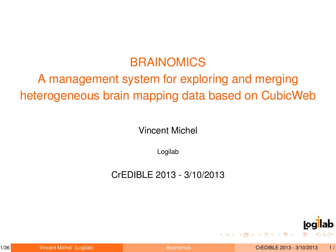# BRAINOMICS

# A management system for exploring and merging heterogeneous brain mapping data based on CubicWeb

Vincent Michel

Logilab

CrEDIBLE 2013 - 3/10/2013

<span id="page-0-0"></span>

**イロト 4 何 ト 4 ヨ ト 4 ヨ ト**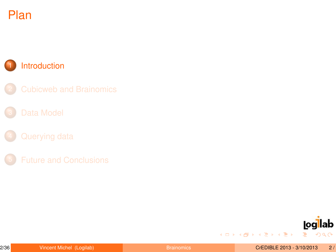# Plan

### **[Introduction](#page-1-0)**

<span id="page-1-0"></span>

イロト 不優 トイミト 不思い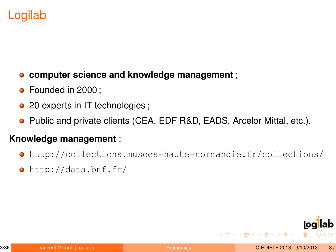# Logilab

- **computer science and knowledge management** ;  $\bullet$
- Founded in 2000:
- 20 experts in IT technologies;
- Public and private clients (CEA, EDF R&D, EADS, Arcelor Mittal, etc.).

#### **Knowledge management** :

- <http://collections.musees-haute-normandie.fr/collections/>
- <http://data.bnf.fr/>

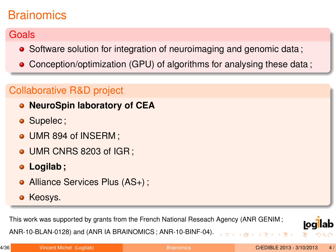# **Brainomics**

## **Goals**

- Software solution for integration of neuroimaging and genomic data;
- Conception/optimization (GPU) of algorithms for analysing these data ;

## Collaborative R&D project

- **NeuroSpin laboratory of CEA**
- Supelec:
- UMR 894 of INSERM:
- UMR CNRS 8203 of IGR :
- **Logilab ;**
- Alliance Services Plus (AS+);
- Keosys.

This work was supported by grants from the French National Reseach Agency (ANR GENIM ;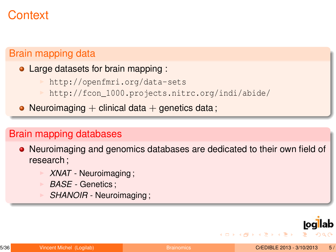# **Context**

#### Brain mapping data

- Large datasets for brain mapping :
	- <http://openfmri.org/data-sets>
	- http://fcon 1000.projects.nitrc.org/indi/abide/
- Neuroimaging  $+$  clinical data  $+$  genetics data;

#### Brain mapping databases

- Neuroimaging and genomics databases are dedicated to their own field of research ;
	- XNAT Neuroimaging;
	- <sup>I</sup> *BASE* Genetics ;
	- SHANOIR Neuroimaging;



**イロト 4 何 ト 4 ヨ ト 4 ヨ ト**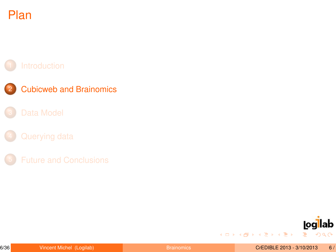# Plan

### **[Cubicweb and Brainomics](#page-6-0)**



イロト 不優 トイミト 不思い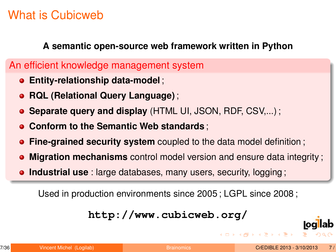# What is Cubicweb

#### **A semantic open-source web framework written in Python**

## An efficient knowledge management system

- **Entity-relationship data-model** ;
- **RQL (Relational Query Language)** ;
- **Separate query and display** (HTML UI, JSON, RDF, CSV,...) ;
- **Conform to the Semantic Web standards** ;
- **Fine-grained security system** coupled to the data model definition;
- **Migration mechanisms** control model version and ensure data integrity ;
- **Industrial use** : large databases, many users, security, logging;

Used in production environments since 2005 ; LGPL since 2008 ;

**<http://www.cubicweb.org/>**

<span id="page-6-0"></span>

**イロト (何) (日) (日)**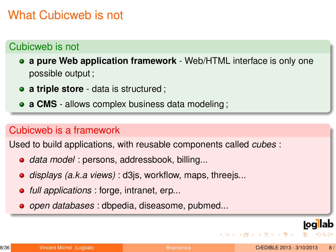# What Cubicweb is not

## Cubicweb is not

**a pure Web application framework** - Web/HTML interface is only one possible output ;

- **a triple store** data is structured ;
- **a CMS** allows complex business data modeling ;

### Cubicweb is a framework

Used to build applications, with reusable components called *cubes* :

- *data model* : persons, addressbook, billing...
- *displays (a.k.a views)* : d3js, workflow, maps, threejs...
- *full applications* : forge, intranet, erp...
- *open databases* : dbpedia, diseasome, pubmed...



**K ロ ▶ K 何 ▶ K ヨ ▶ K ヨ ▶ ...**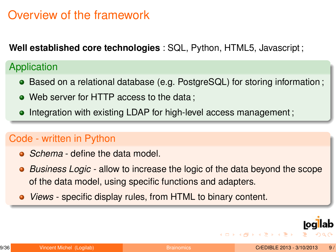## Overview of the framework

**Well established core technologies** : SQL, Python, HTML5, Javascript ;

### **Application**

- Based on a relational database (e.g. PostgreSQL) for storing information;
- Web server for HTTP access to the data ;
- Integration with existing LDAP for high-level access management;  $\bullet$

## Code - written in Python

- **•** *Schema* define the data model.
- *Business Logic* allow to increase the logic of the data beyond the scope  $\bullet$ of the data model, using specific functions and adapters.
- *Views* specific display rules, from HTML to binary content.



4 ロ ト 4 何 ト 4 ヨ ト 4 ヨ ト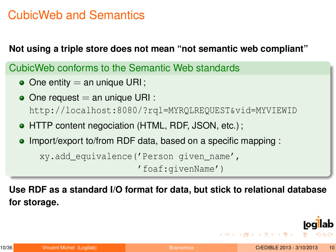## CubicWeb and Semantics

#### **Not using a triple store does not mean "not semantic web compliant"**

CubicWeb conforms to the Semantic Web standards

- $\bullet$  One entity = an unique URI;
- $\bullet$  One request  $=$  an unique URI : [http://localhost:8080/?rql=MYRQLREQUEST&vid=MYVIEWID](http://localhost:8080/?rql=MY RQL REQUEST&vid=MY VIEW ID)
- HTTP content negociation (HTML, RDF, JSON, etc.) ;
- Import/export to/from RDF data, based on a specific mapping :  $\bullet$

```
xy.add_equivalence('Person given_name',
                   'foaf:givenName')
```
**Use RDF as a standard I/O format for data, but stick to relational database for storage.**

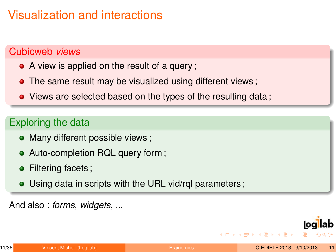# Visualization and interactions

### Cubicweb *views*

- A view is applied on the result of a query ;
- The same result may be visualized using different views ;
- Views are selected based on the types of the resulting data;

## Exploring the data

- Many different possible views;
- Auto-completion RQL query form ;
- Filtering facets;
- Using data in scripts with the URL vid/rql parameters;

And also : *forms*, *widgets*, ...



**イロト イ何 ト イヨ ト イヨ ト**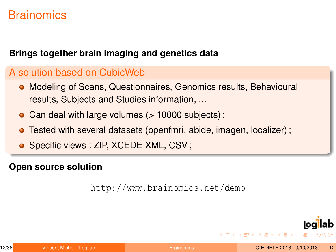## **Brainomics**

#### **Brings together brain imaging and genetics data**

#### A solution based on CubicWeb

- Modeling of Scans, Questionnaires, Genomics results, Behavioural results, Subjects and Studies information, ...
- Can deal with large volumes (> 10000 subjects);
- $\bullet$ Tested with several datasets (openfmri, abide, imagen, localizer) ;
- **·** Specific views : ZIP, XCEDE XML, CSV;

#### **Open source solution**

```
http://www.brainomics.net/demo
```
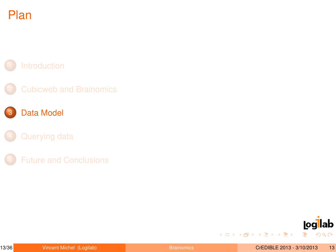

- 
- 3 [Data Model](#page-13-0)
	-
- 



イロト 不優 トイミト 不思い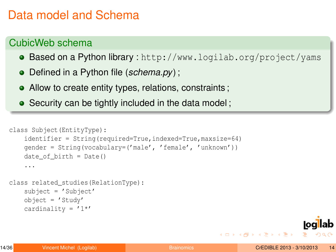## Data model and Schema

### CubicWeb schema

- Based on a Python library : <http://www.logilab.org/project/yams>
- Defined in a Python file (*schema.py*) ;
- Allow to create entity types, relations, constraints;
- Security can be tightly included in the data model;

```
class Subject(EntityType):
    identifier = String(required=True,indexed=True,maxsize=64)
    gender = String(vocabulary=('male', 'female', 'unknown'))
    date of birth = Date()...
class related_studies(RelationType):
    subject = 'Subject'
    object = 'Study'
    cardinality = '1*'
```
<span id="page-13-0"></span>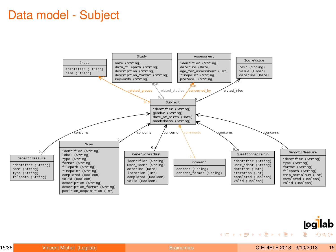## Data model - Subject





メロトメ 御 トメ ミトメ ミトー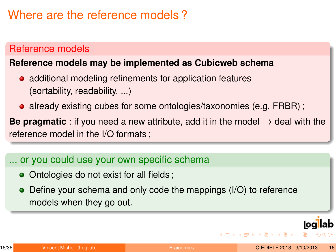## Where are the reference models ?

#### Reference models

#### **Reference models may be implemented as Cubicweb schema**

- additional modeling refinements for application features (sortability, readability, ...)
- already existing cubes for some ontologies/taxonomies (e.g. FRBR);

**Be pragmatic** : if you need a new attribute, add it in the model  $\rightarrow$  deal with the reference model in the I/O formats ;

### ... or you could use your own specific schema

- Ontologies do not exist for all fields;
- Define your schema and only code the mappings (I/O) to reference models when they go out.



**K ロ ▶ K 何 ▶ K ヨ ▶ K ヨ ▶ ...**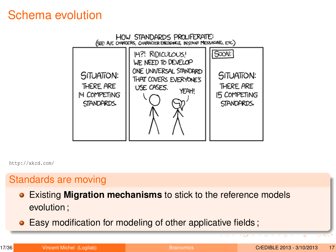## Schema evolution



<http://xkcd.com/>

#### Standards are moving

- Existing **Migration mechanisms** to stick to the reference models evolution ;
- Easy modification for modeling of other applicative fields;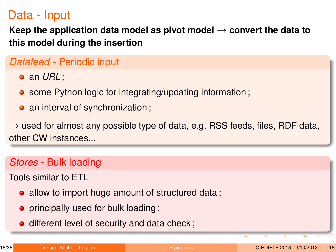## Data - Input

**Keep the application data model as pivot model** → **convert the data to this model during the insertion**

### *Datafeed* - Periodic input

an *URL* ;

- some Python logic for integrating/updating information;
- an interval of synchronization;

 $\rightarrow$  used for almost any possible type of data, e.g. RSS feeds, files, RDF data, other CW instances...

#### *Stores* - Bulk loading

Tools similar to ETL

- allow to import huge amount of structured data;
- principally used for bulk loading;
- different level of security and data check;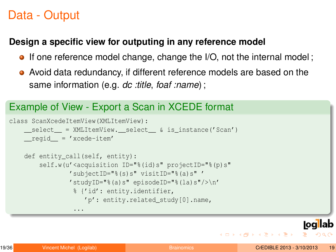## Data - Output

#### **Design a specific view for outputing in any reference model**

- If one reference model change, change the I/O, not the internal model;
- Avoid data redundancy, if different reference models are based on the same information (e.g. *dc :title*, *foaf :name*) ;

## Example of View - Export a Scan in XCEDE format

```
class ScanXcedeItemView(XMLItemView):
   select = XMLItemView. select & is instance('Scan')
    <sub>regid</sub> = 'xcede-item'</sub>
    def entity call(self, entity):
        self.w(u'<acquisition ID="%(id)s" projectID="%(p)s"
                'subjectID="%(s)s" visitID="%(a)s" '
                'studyID="%(a)s" episodeID="%(la)s"/>\n'
                 % {'id': entity.identifier,
                    'p': entity.related_study[0].name,
                 ...
```
**KORK EX KEY STYPE ARA** 

**loal** lab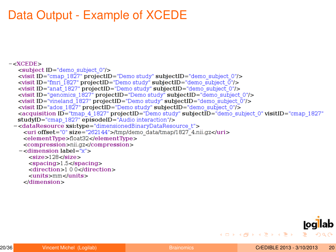# Data Output - Example of XCEDE

```
-<XCEDE>
   <subject ID="demo subject 0"/>
   <visit ID="cmap_1827" projectID="Demo study" subjectID="demo subject 0"/>
   <visit ID="fmri 1827" projectID="Demo study" subjectID="demo subject 0"/>
   <visit ID="anat 1827" projectID="Demo study" subjectID="demo subject 0"/>
   <visit ID="genomics 1827" projectID="Demo study" subjectID="demo subject 0"/>
   \levisit ID="vineland 1827" projectID="Demo study" subjectID="demo subject \overline{0}"/>
   <visit ID="ados 1827" projectID="Demo study" subjectID="demo subject 0"/>
   <acquisition ID="tmap 4 1827" projectID="Demo study" subjectID="demo subject 0" visitID="cmap 1827"
   studyID="cmap 1827" episodeID="Audio interaction"/>
 -<dataResource xsi:type="dimensionedBinaryDataResource t">
     <uri offset="0" size="262144">/tmp/demo_data/tmap/1827_4.nii.gz</uri>
     <elementType>float32</elementType>
     <compression>nii.gz</compression>
   - < dimension label = "x" >
      <size>128</size>
      <spacing>1.5</spacing>
      <direction>1 0 0</direction>
      \langle units \ranglemm\langleunits\rangle\triangle/dimension>
```
<span id="page-19-0"></span>

イロトス 御 トメ 君 トメ 君 トー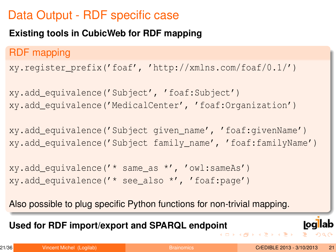# Data Output - RDF specific case

### **Existing tools in CubicWeb for RDF mapping**

## RDF mapping

```
xy.register_prefix('foaf', 'http://xmlns.com/foaf/0.1/')
```

```
xy.add_equivalence('Subject', 'foaf:Subject')
xy.add_equivalence('MedicalCenter', 'foaf:Organization')
```
xy.add\_equivalence('Subject given\_name', 'foaf:givenName') xy.add\_equivalence('Subject family\_name', 'foaf:familyName')

```
xy.add_equivalence('* same_as *', 'owl:sameAs')
xy.add_equivalence('* see_also *', 'foaf:page')
```
Also possible to plug specific Python functions for non-trivial mapping.

**Used for RDF import/export and SPARQL endpo[in](#page-19-0)t**

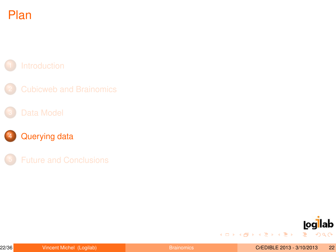# Plan

## [Querying data](#page-22-0)



イロト 不優 トイミト 不思い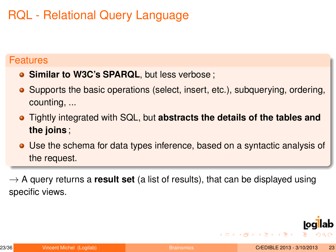# RQL - Relational Query Language

#### **Features**

- **Similar to W3C's SPARQL**, but less verbose ;
- Supports the basic operations (select, insert, etc.), subquerying, ordering, counting, ...
- Tightly integrated with SQL, but **abstracts the details of the tables and the joins** ;
- Use the schema for data types inference, based on a syntactic analysis of the request.

 $\rightarrow$  A query returns a **result set** (a list of results), that can be displayed using specific views.

<span id="page-22-0"></span>

**イロト (何) (日) (日)**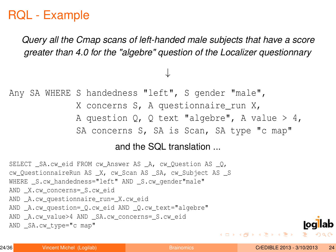## RQL - Example

*Query all the Cmap scans of left-handed male subjects that have a score greater than 4.0 for the "algebre" question of the Localizer questionnary*

↓

Any SA WHERE S handedness "left", S gender "male", X concerns S, A questionnaire run X, A question Q, Q text "algebre", A value  $> 4$ , SA concerns S, SA is Scan, SA type "c map"

#### and the SQL translation ...

SELECT \_SA.cw\_eid FROM cw\_Answer AS \_A, cw\_Question AS \_Q, cw OuestionnaireRun AS \_X, cw\_Scan AS \_SA, cw\_Subject AS \_S WHERE S.cw\_handedness="left" AND S.cw\_gender"male" AND X.cw concerns= S.cw eid AND A.cw questionnaire run= X.cw eid AND A.cw question= 0.cw eid AND 0.cw text="algebre" AND \_A.cw\_value>4 AND \_SA.cw\_concerns=\_S.cw\_eid AND SA.cw type="c map"

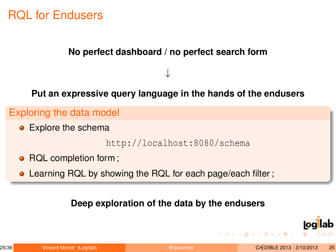## RQL for Endusers

#### **No perfect dashboard / no perfect search form**

**Put an expressive query language in the hands of the endusers**

↓

#### Exploring the data model

**•** Explore the schema

<http://localhost:8080/schema>

- RQL completion form ;
- **.** Learning RQL by showing the RQL for each page/each filter;

#### **Deep exploration of the data by the endusers**



**K ロ ▶ K 何 ▶ K ヨ ▶ K ヨ ▶ ...**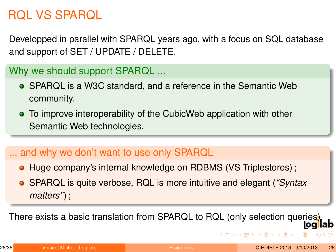# RQL VS SPARQL

Developped in parallel with SPARQL years ago, with a focus on SQL database and support of SET / UPDATE / DELETE.

Why we should support SPARQL ...

- SPARQL is a W3C standard, and a reference in the Semantic Web community.
- To improve interoperability of the CubicWeb application with other Semantic Web technologies.

## ... and why we don't want to use only SPARQL

- Huge company's internal knowledge on RDBMS (VS Triplestores);
- SPARQL is quite verbose, RQL is more intuitive and elegant (*"Syntax matters"*) ;

There exists a basic translation from SPARQL to RQL (only selection queries).

<span id="page-25-0"></span>

イロト イ何 トイヨ トイヨ ト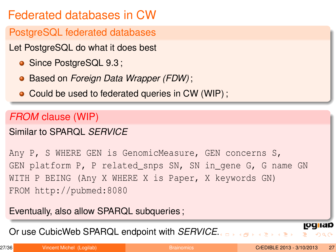# Federated databases in CW

PostgreSQL federated databases

- Let PostgreSQL do what it does best
	- Since PostgreSQL 9.3;
	- Based on *Foreign Data Wrapper (FDW)* ;
	- Could be used to federated queries in CW (WIP);

## *FROM* clause (WIP)

## Similar to SPARQL *SERVICE*

Any P, S WHERE GEN is GenomicMeasure, GEN concerns S, GEN platform P, P related\_snps SN, SN in\_gene G, G name GN WITH P BEING (Any X WHERE X is Paper, X keywords GN) FROM http://pubmed:8080

Eventually, also allow SPARQL subqueries ;

Or use CubicWeb SPARQL endpoint with *SERVICE*[.](#page-25-0)

 $\mathbf{A} = \mathbf{A} \oplus \mathbf{A} \oplus \mathbf{A} \oplus \mathbf{A} \oplus \mathbf{A} \oplus \mathbf{A} \oplus \mathbf{A}$ 

<u>log iap</u>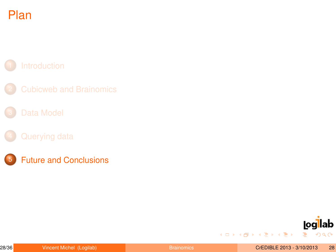# Plan

- 
- 

5 [Future and Conclusions](#page-28-0)



イロト 不優 トイミト 不思い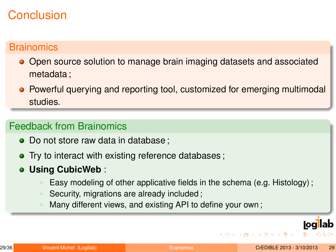# Conclusion

## **Brainomics**

- Open source solution to manage brain imaging datasets and associated metadata ;
- Powerful querying and reporting tool, customized for emerging multimodal studies.

### Feedback from Brainomics

- Do not store raw data in database ;
- Try to interact with existing reference databases;
- **Using CubicWeb** :
	- Easy modeling of other applicative fields in the schema (e.g. Histology);
	- Security, migrations are already included;
	- Many different views, and existing API to define your own;

<span id="page-28-0"></span>

**K ロ ▶ K 何 ▶ K ヨ ▶ K ヨ ▶ ...**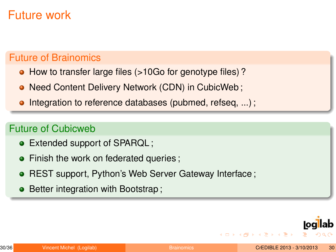## Future work

### Future of Brainomics

- How to transfer large files (>10Go for genotype files)?
- **.** Need Content Delivery Network (CDN) in CubicWeb;
- Integration to reference databases (pubmed, refseq, ...) ;  $\bullet$

#### Future of Cubicweb

- Extended support of SPARQL;
- Finish the work on federated queries ;  $\bullet$
- REST support, Python's Web Server Gateway Interface;
- Better integration with Bootstrap;



**イロト イ何 ト イヨ ト イヨ ト**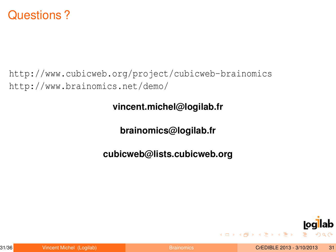## Questions ?

<http://www.cubicweb.org/project/cubicweb-brainomics> <http://www.brainomics.net/demo/>

**vincent.michel@logilab.fr**

**brainomics@logilab.fr**

**cubicweb@lists.cubicweb.org**

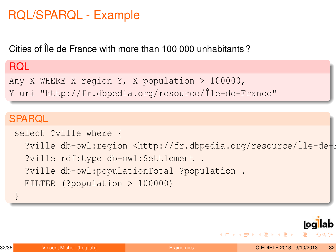## RQL/SPARQL - Example

Cities of Île de France with more than 100 000 unhabitants ?

### RQL

```
Any X WHERE X region Y, X population > 100000,
```

```
Y uri "http://fr.dbpedia.org/resource/Île-de-France"
```
## **SPARQL**

```
select ?ville where {
  ?ville db-owl: region <http://fr.dbpedia.org/resource/Île-de-F
  ?ville rdf:type db-owl:Settlement .
  ?ville db-owl:populationTotal ?population .
  FILTER (?population > 100000)
}
```
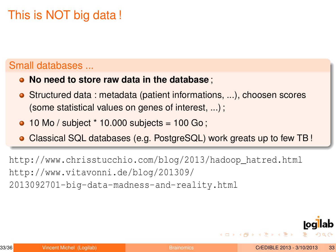# This is NOT big data !

### Small databases ...

- **No need to store raw data in the database** ;
- Structured data : metadata (patient informations, ...), choosen scores (some statistical values on genes of interest, ...) ;
- $\bullet$  10 Mo / subject  $*$  10.000 subjects = 100 Go;
- Classical SQL databases (e.g. PostgreSQL) work greats up to few TB !

[http://www.chrisstucchio.com/blog/2013/hadoop\\_hatred.html](http://www.chrisstucchio.com/blog/2013/hadoop_hatred.html) [http://www.vitavonni.de/blog/201309/](http://www.vitavonni.de/blog/201309/2013092701-big-data-madness-and-reality.html) [2013092701-big-data-madness-and-reality.html](http://www.vitavonni.de/blog/201309/2013092701-big-data-madness-and-reality.html)

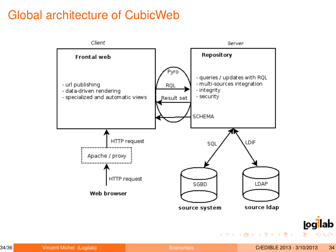# Global architecture of CubicWeb



<u>logllab</u>

GHT 1  $2Q$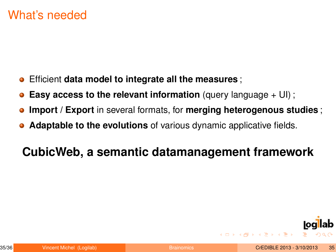- $\bullet$ Efficient **data model to integrate all the measures** ;
- **Easy access to the relevant information** (query language + UI);
- **Import / Export** in several formats, for **merging heterogenous studies** ;  $\bullet$
- **Adaptable to the evolutions** of various dynamic applicative fields.

# **CubicWeb, a semantic datamanagement framework**



**イロト (何) (日) (日)**